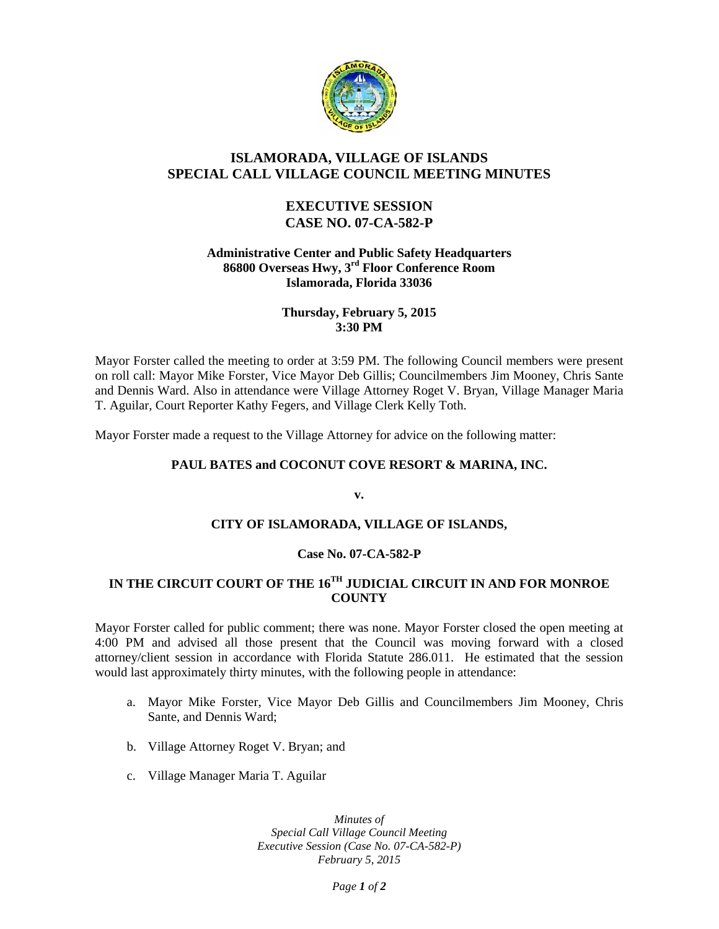

## **ISLAMORADA, VILLAGE OF ISLANDS SPECIAL CALL VILLAGE COUNCIL MEETING MINUTES**

## **EXECUTIVE SESSION CASE NO. 07-CA-582-P**

### **Administrative Center and Public Safety Headquarters 86800 Overseas Hwy, 3rd Floor Conference Room Islamorada, Florida 33036**

## **Thursday, February 5, 2015 3:30 PM**

Mayor Forster called the meeting to order at 3:59 PM. The following Council members were present on roll call: Mayor Mike Forster, Vice Mayor Deb Gillis; Councilmembers Jim Mooney, Chris Sante and Dennis Ward. Also in attendance were Village Attorney Roget V. Bryan, Village Manager Maria T. Aguilar, Court Reporter Kathy Fegers, and Village Clerk Kelly Toth.

Mayor Forster made a request to the Village Attorney for advice on the following matter:

## **PAUL BATES and COCONUT COVE RESORT & MARINA, INC.**

**v.**

### **CITY OF ISLAMORADA, VILLAGE OF ISLANDS,**

### **Case No. 07-CA-582-P**

# **IN THE CIRCUIT COURT OF THE 16TH JUDICIAL CIRCUIT IN AND FOR MONROE COUNTY**

Mayor Forster called for public comment; there was none. Mayor Forster closed the open meeting at 4:00 PM and advised all those present that the Council was moving forward with a closed attorney/client session in accordance with Florida Statute 286.011. He estimated that the session would last approximately thirty minutes, with the following people in attendance:

- a. Mayor Mike Forster, Vice Mayor Deb Gillis and Councilmembers Jim Mooney, Chris Sante, and Dennis Ward;
- b. Village Attorney Roget V. Bryan; and
- c. Village Manager Maria T. Aguilar

*Minutes of Special Call Village Council Meeting Executive Session (Case No. 07-CA-582-P) February 5, 2015*

*Page 1 of 2*